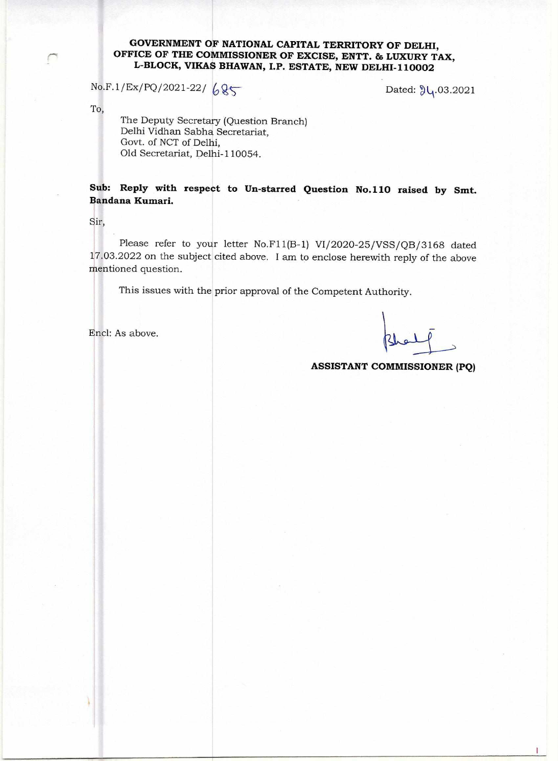## **GOVERNMENT OF NATIONAL CAPITAL TERRITORY OF DELHI, OFFICE OF THE COMMISSIONER OF EXCISE, ENTT. & LUXURY TAX, L-BLOCK, VIKAS BHAWAN, I.P. ESTATE, NEW DELHI-110002**

 $No.F.1/Ex/PO/2021-22/685$  Dated:  $\mathcal{Y}_1.03.2021$ 

To,

The Deputy Secretary (Question Branch) Delhi Vidhan Sabha Secretariat, Govt. of NCT of Delhi, Old Secretariat, Delhi-110054.

**Sub: Reply with respect to Un-starred Question No.110 raised by Smt. Bandana Kumari.** 

Sir,

Please refer to your letter No.F11(B-1) VI/2020-25/VSS/QB/3168 dated 17.03.2022 on the subject cited above. I am to enclose herewith reply of the above mentioned question.

This issues with the prior approval of the Competent Authority.

Encl: As above.

**ASSISTANT COMMISSIONER (PQ)**